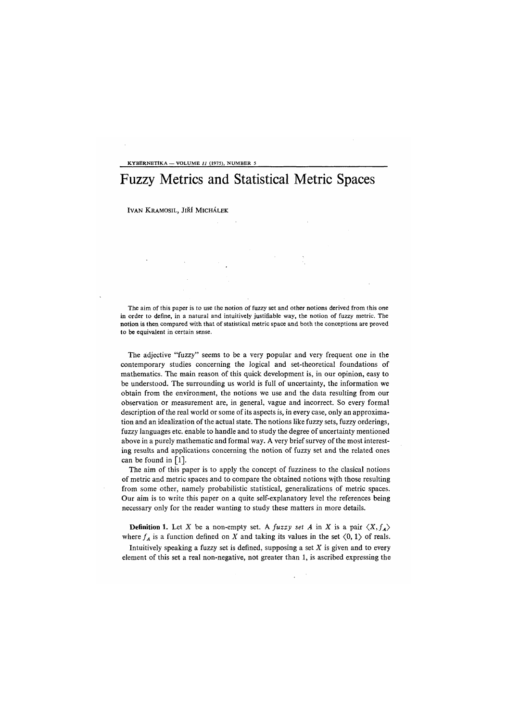KYBERNETIKA — VOLUME // (1975), NUMBER 5

## Fuzzy Metrics and Statistical Metric Spaces

IVAN KRAMOSIL, JIŘÍ MICHÁLEK

The aim of this paper is to use the notion of fuzzy set and other notions derived from this one in order to define, in a natural and intuitively justifiable way, the notion of fuzzy metric. The notion is then compared with that of statistical metric space and both the conceptions are proved to be equivalent in certain sense.

The adjective "fuzzy" seems to be a very popular and very frequent one in the contemporary studies concerning the logical and set-theoretical foundations of mathematics. The main reason of this quick development is, in our opinion, easy to be understood. The surrounding us world is full of uncertainty, the information we obtain from the environment, the notions we use and the data resulting from our observation or measurement are, in general, vague and incorrect. So every formal description of the real world or some of its aspects is, in every case, only an approximation and an idealization of the actual state. The notions like fuzzy sets, fuzzy orderings, fuzzy languages etc. enable to handle and to study the degree of uncertainty mentioned above in a purely mathematic and formal way. A very brief survey of the most interesting results and applications concerning the notion of fuzzy set and the related ones can be found in [l].

The aim of this paper is to apply the concept of fuzziness to the clasical notions of metric and metric spaces and to compare the obtained notions with those resulting from some other, namely probabilistic statistical, generalizations of metric spaces. Our aim is to write this paper on a quite self-explanatory level the references being necessary only for the reader wanting to study these matters in more details.

**Definition 1.** Let X be a non-empty set. A fuzzy set A in X is a pair  $\langle X, f_A \rangle$ where  $f_A$  is a function defined on X and taking its values in the set  $\langle 0, 1 \rangle$  of reals.

Intuitively speaking a fuzzy set is defined, supposing a set *X* is given and to every element of this set a real non-negative, not greater than 1, is ascribed expressing the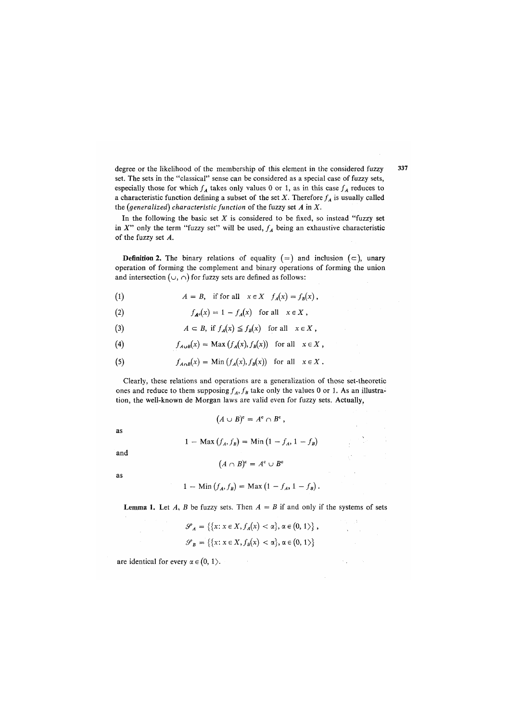degree or the likelihood of the membership of this element in the considered fuzzy set. The sets in the "classical" sense can be considered as a special case of fuzzy sets, especially those for which  $f_A$  takes only values 0 or 1, as in this case  $f_A$  reduces to a characteristic function defining a subset of the set  $X$ . Therefore  $f_A$  is usually called the *(generalized) characteristic function* of the fuzzy set *A* in *X.* 

In the following the basic set *X* is considered to be fixed, so instead "fuzzy set in  $X''$  only the term "fuzzy set" will be used,  $f_A$  being an exhaustive characteristic of the fuzzy set *A*.

**Definition 2.** The binary relations of equality  $(=)$  and inclusion  $(=)$ , unary operation of forming the complement and binary operations of forming the union and intersection ( $\cup$ ,  $\cap$ ) for fuzzy sets are defined as follows:

(1) 
$$
A = B, \text{ if for all } x \in X \quad f_A(x) = f_B(x),
$$

(2) 
$$
f_{A^c}(x) = 1 - f_A(x) \text{ for all } x \in X,
$$

(3)  $A \subset B$ , if  $f_A(x) \leq f_B(x)$  for all  $x \in X$ ,

(4) 
$$
f_{A\cup B}(x) = \text{Max}(f_A(x), f_B(x)) \text{ for all } x \in X,
$$

(5) 
$$
f_{A \cap B}(x) = \text{Min} (f_A(x), f_B(x)) \text{ for all } x \in X.
$$

Clearly, these relations and operations are a generalization of those set-theoretic ones and reduce to them supposing  $f_A$ ,  $f_B$  take only the values 0 or 1. As an illustration, the well-known de Morgan laws are valid even for fuzzy sets. Actually,

$$
(A \cup B)^c = A^c \cap B^c,
$$
  

$$
1 - \text{Max}(f_A, f_B) = \text{Min}(1 - f_A, 1 - f_B)
$$

and

as

$$
(A \cap B)^c = A^c \cup B^c
$$

as

$$
1 - \text{Min}(f_A, f_B) = \text{Max}(1 - f_A, 1 - f_B).
$$

**Lemma 1.** Let *A*, *B* be fuzzy sets. Then  $A = B$  if and only if the systems of sets

$$
\mathcal{S}_A = \left\{ \{x \colon x \in X, f_A(x) < \alpha \}, \alpha \in (0, 1) \right\},\
$$

$$
\mathcal{S}_B = \left\{ \{x \colon x \in X, f_B(x) < \alpha \}, \alpha \in (0, 1) \right\}
$$

are identical for every  $\alpha \in (0, 1)$ .

337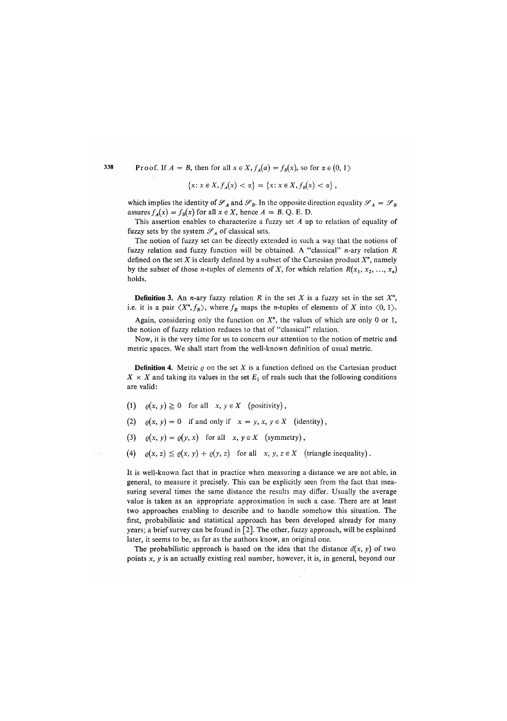338 Proof. If  $A = B$ , then for all  $x \in X$ ,  $f_A(a) = f_B(x)$ , so for  $\alpha \in \{0, 1\}$ 

$$
\{x \colon x \in X, f_A(x) < \alpha\} = \{x \colon x \in X, f_B(x) < \alpha\},
$$

which implies the identity of  $\mathscr{S}_A$  and  $\mathscr{S}_B$ . In the opposite direction equality  $\mathscr{S}_A = \mathscr{S}_B$ assures  $f_A(x) = f_B(x)$  for all  $x \in X$ , hence  $A = B$ . Q. E. D.

This assertion enables to characterize a fuzzy set *A* up to relation of equality of fuzzy sets by the system  $\mathcal{S}_A$  of classical sets.

The notion of fuzzy set can be directly extended in such a way that the notions of fuzzy relation and fuzzy function will be obtained. A "classical" n-ary relation *R*  defined on the set *X* is clearly defined by a subset of the Cartesian product *X",* namely by the subset of those *n*-tuples of elements of X, for which relation  $R(x_1, x_2, \ldots, x_n)$ holds.

**Definition 3.** An *n*-ary fuzzy relation *R* in the set *X* is a fuzzy set in the set  $X<sup>n</sup>$ , i.e. it is a pair  $\langle X^n, f_R \rangle$ , where  $f_R$  maps the *n*-tuples of elements of X into  $\langle 0, 1 \rangle$ .

Again, considering only the function on  $X<sup>n</sup>$ , the values of which are only 0 or 1, the notion of fuzzy relation reduces to that of "classical" relation.

Now, it is the very time for us to concern our attention to the notion of metric and metric spaces. We shall start from the well-known definition of usual metric.

**Definition 4.** Metric  $\varrho$  on the set  $X$  is a function defined on the Cartesian product  $X \times X$  and taking its values in the set  $E_1$  of reals such that the following conditions are valid:

- (1)  $\varrho(x, y) \ge 0$  for all  $x, y \in X$  (positivity),
- (2)  $\varrho(x, y) = 0$  if and only if  $x = y, x, y \in X$  (identity),
- (3)  $\varrho(x, y) = \varrho(y, x)$  for all  $x, y \in X$  (symmetry),
- (4)  $\varrho(x, z) \leq \varrho(x, y) + \varrho(y, z)$  for all  $x, y, z \in X$  (triangle inequality).

It is well-known fact that in practice when measuring a distance we are not able, in general, to measure it precisely. This can be explicitly seen from the fact that measuring several times the same distance the results may differ. Usually the average value is taken as an appropriate approximation in such a case. There are at least two approaches enabling to describe and to handle somehow this situation. The first, probabilistic and statistical approach has been developed already for many years; a brief survey can be found in [2]. The other, fuzzy approach, will be explained later, it seems to be, as far as the authors know, an original one.

The probabilistic approach is based on the idea that the distance  $d(x, y)$  of two points x, y is an actually existing real number, however, it is, in general, beyond our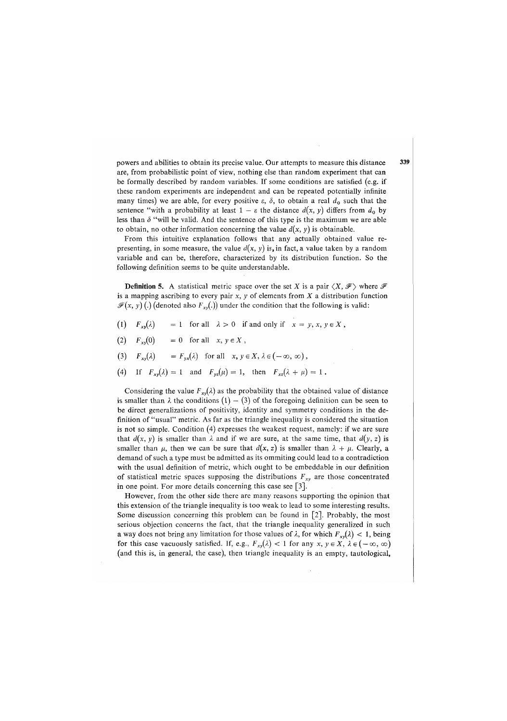powers and abilities to obtain its precise value. Our attempts to measure this distance 339 are, from probabilistic point of view, nothing else than random experiment that can be formally described by random variables. If some conditions are satisfied (e.g. if these random experiments are independent and can be repeated potentially infinite many times) we are able, for every positive  $\varepsilon$ ,  $\delta$ , to obtain a real  $d_0$  such that the sentence "with a probability at least  $1 - \varepsilon$  the distance  $d(x, y)$  differs from  $d_0$  by less than  $\delta$  "will be valid. And the sentence of this type is the maximum we are able to obtain, no other information concerning the value  $d(x, y)$  is obtainable.

From this intuitive explanation follows that any actually obtained value representing, in some measure, the value  $d(x, y)$  is, in fact, a value taken by a random variable and can be, therefore, characterized by its distribution function. So the following definition seems to be quite understandable.

**Definition 5.** A statistical metric space over the set X is a pair  $\langle X, \mathcal{F} \rangle$  where  $\mathcal{F}$ is a mapping ascribing to every pair *x, y* of elements from *X* a distribution function  $\mathscr{F}(x, y)$  (.) (denoted also  $F_{xy}(.)$ ) under the condition that the following is valid:

- (1)  $F_{xy}(\lambda) = 1$  for all  $\lambda > 0$  if and only if  $x = y, x, y \in X$ ,
- $(2)$   $F_{xy}(0) = 0$  for all  $x, y \in X$ ,
- (3)  $F_{xy}(\lambda) = F_{yx}(\lambda)$  for all  $x, y \in X, \lambda \in (-\infty, \infty)$ ,
- (4) If  $F_{xy}(\lambda) = 1$  and  $F_{yz}(\mu) = 1$ , then  $F_{xz}(\lambda + \mu) = 1$ .

Considering the value  $F_{xy}(\lambda)$  as the probability that the obtained value of distance is smaller than  $\lambda$  the conditions  $(1) - (3)$  of the foregoing definition can be seen to be direct generalizations of positivity, identity and symmetry conditions in the definition of "usual" metric. As far as the triangle inequality is considered the situation is not so simple. Condition (4) expresses the weakest request, namely: if we are sure that  $d(x, y)$  is smaller than  $\lambda$  and if we are sure, at the same time, that  $d(y, z)$  is smaller than  $\mu$ , then we can be sure that  $d(x, z)$  is smaller than  $\lambda + \mu$ . Clearly, a demand of such a type must be admitted as its ommiting could lead to a contradiction with the usual definition of metric, which ought to be embeddable in our definition of statistical metric spaces supposing the distributions *Fxy* are those concentrated in one point. For more details concerning this case see [3].

However, from the other side there are many reasons supporting the opinion that this extension of the triangle inequality is too weak to lead to some interesting results. Some discussion concerning this problem can be found in [2]. Probably, the most serious objection concerns the fact, that the triangle inequality generalized in such a way does not bring any limitation for those values of  $\lambda$ , for which  $F_{xy}(\lambda) < 1$ , being for this case vacuously satisfied. If, e.g.,  $F_{xy}(\lambda) < 1$  for any  $x, y \in X$ ,  $\lambda \in (-\infty, \infty)$ (and this is, in general, the case), then triangle inequality is an empty, tautological,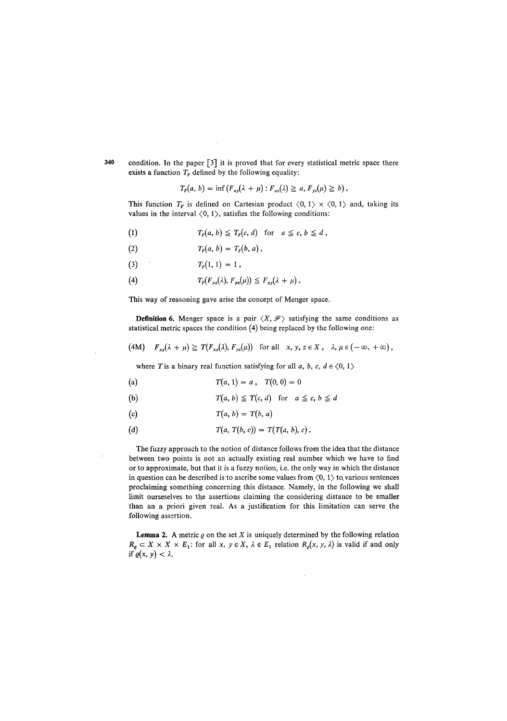condition. In the paper [3] it is proved that for every statistical metric space there exists a function  $T_F$  defined by the following equality:

 $T_F(a, b) = \inf (F_{xy}(\lambda + \mu) : F_{yz}(\lambda) \ge a, F_{yz}(\mu) \ge b).$ 

This function  $T_F$  is defined on Cartesian product  $\langle 0, 1 \rangle \times \langle 0, 1 \rangle$  and, taking its values in the interval  $(0, 1)$ , satisfies the following conditions:

- (1)  $T_F(a, b) \leq T_F(c, d)$  for  $a \leq c, b \leq d$ ,
- (2)  $T_F(a, b) = T_F(b, a)$ ,
- (3)  $T_r(1, 1) = 1$ ,
- (4)  $T_F(F_{xz}(\lambda), F_{yz}(\mu)) \leq F_{xy}(\lambda + \mu).$

This way of reasoning gave arise the concept of Menger space.

**Definition 6.** Menger space is a pair  $\langle X, \mathcal{F} \rangle$  satisfying the same conditions as statistical metric spaces the condition (4) being replaced by the following one:

(4M)  $F_{xy}(\lambda + \mu) \geq T(F_{xz}(\lambda), F_{yz}(\mu))$  for all  $x, y, z \in X$ ,  $\lambda, \mu \in (-\infty, +\infty)$ ,

where *T* is a binary real function satisfying for all *a*, *b*, *c*,  $d \in \langle 0, 1 \rangle$ 

(a) 
$$
T(a, 1) = a
$$
,  $T(0, 0) = 0$ 

(b) 
$$
T(a, b) \leq T(c, d) \text{ for } a \leq c, b \leq d
$$

(c) 
$$
T(a, b) = T(b, a)
$$

(d) 
$$
T(a, T(b, c)) = T(T(a, b), c).
$$

The fuzzy approach to the notion of distance follows from the idea that the distance between two points is not an actually existing real number which we have to find or to approximate, but that it is a fuzzy notion, i.e. the only way in which the distance in question can be described is to ascribe some values from  $(0, 1)$  to various sentences proclaiming something concerning this distance. Namely, in the following we shall limit ourseselves to the assertions claiming the considering distance to be smaller than an a priori given real. As a justification for this limitation can serve the following assertion.

**Lemma 2.** A metric  $\varrho$  on the set  $X$  is uniquely determined by the following relation  $R_e \subset X \times X \times E_1$ : for all  $x, y \in X$ ,  $\lambda \in E_1$  relation  $R_e(x, y, \lambda)$  is valid if and only if  $\varrho(x, y) < \lambda$ .

340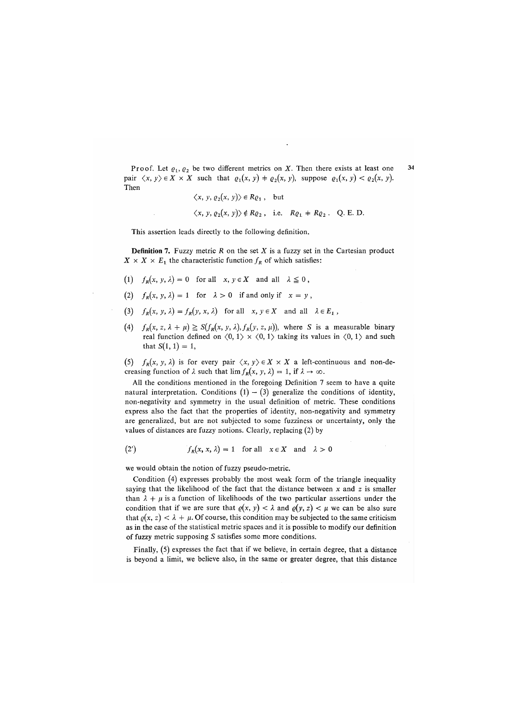Proof. Let  $\varrho_1, \varrho_2$  be two different metrics on *X*. Then there exists at least one 34 pair  $\langle x, y \rangle \in X \times X$  such that  $\varrho_1(x, y) + \varrho_2(x, y)$ , suppose  $\varrho_1(x, y) < \varrho_2(x, y)$ . Then

$$
\langle x, y, \varrho_2(x, y) \rangle \in R\varrho_1, \text{ but }
$$

 $\langle x, y, \varrho_2(x, y) \rangle \notin R\varrho_2$ , i.e.  $R\varrho_1 \neq R\varrho_2$ . Q. E. D.

This assertion leads directly to the following definition.

Definition 7. Fuzzy metric *R* on the set *X* is a fuzzy set in the Cartesian product  $X \times X \times E_1$  the characteristic function  $f_R$  of which satisfies:

- (1)  $f_R(x, y, \lambda) = 0$  for all  $x, y \in X$  and all  $\lambda \leq 0$ ,
- (2)  $f_R(x, y, \lambda) = 1$  for  $\lambda > 0$  if and only if  $x = y$ ,
- (3)  $f_R(x, y, \lambda) = f_R(y, x, \lambda)$  for all  $x, y \in X$  and all  $\lambda \in E_1$ ,
- (4)  $f_R(x, z, \lambda + \mu) \geq S(f_R(x, y, \lambda), f_R(y, z, \mu))$ , where S is a measurable binary real function defined on  $\langle 0, 1 \rangle \times \langle 0, 1 \rangle$  taking its values in  $\langle 0, 1 \rangle$  and such that  $S(1, 1) = 1$ ,

(5)  $f_R(x, y, \lambda)$  is for every pair  $\langle x, y \rangle \in X \times X$  a left-continuous and non-decreasing function of  $\lambda$  such that  $\lim f_R(x, y, \lambda) = 1$ , if  $\lambda \to \infty$ .

All the conditions mentioned in the foregoing Definition 7 seem to have a quite natural interpretation. Conditions  $(1) - (3)$  generalize the conditions of identity, non-negativity and symmetry in the usual definition of metric. These conditions express also the fact that the properties of identity, non-negativity and symmetry are generalized, but are not subjected to some fuzziness or uncertainty, only the values of distances are fuzzy notions. Clearly, replacing (2) by

(2') 
$$
f_R(x, x, \lambda) = 1 \text{ for all } x \in X \text{ and } \lambda > 0
$$

we would obtain the notion of fuzzy pseudo-metric.

Condition (4) expresses probably the most weak form of the triangle inequality saying that the likelihood of the fact that the distance between *x* and z is smaller than  $\lambda + \mu$  is a function of likelihoods of the two particular assertions under the condition that if we are sure that  $\varrho(x, y) < \lambda$  and  $\varrho(y, z) < \mu$  we can be also sure that  $\rho(x, z) < \lambda + \mu$ . Of course, this condition may be subjected to the same criticism as in the case of the statistical metric spaces and it is possible to modify our definition of fuzzy metric supposing S satisfies some more conditions.

Finally, (5) expresses the fact that if we believe, in certain degree, that a distance is beyond a limit, we believe also, in the same or greater degree, that this distance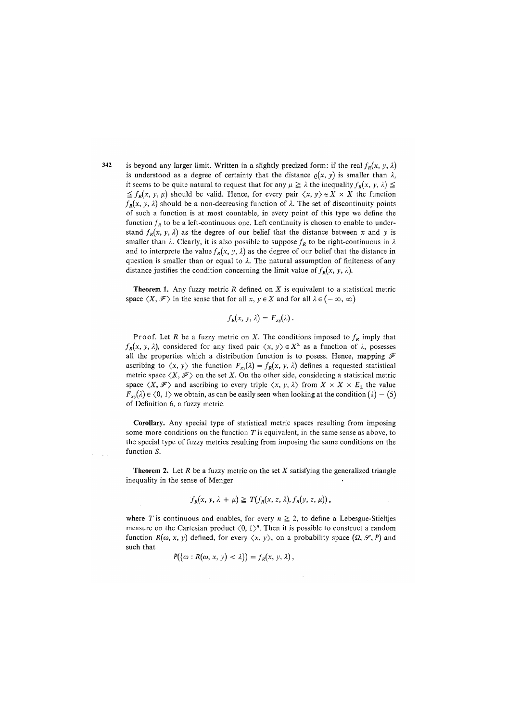is beyond any larger limit. Written in a slightly precized form: if the real  $f_R(x, y, \lambda)$ is understood as a degree of certainty that the distance  $\rho(x, y)$  is smaller than  $\lambda$ , it seems to be quite natural to request that for any  $\mu \geq \lambda$  the inequality  $f_R(x, y, \lambda) \leq$  $\leq f_R(x, y, \mu)$  should be valid. Hence, for every pair  $\langle x, y \rangle \in X \times X$  the function  $f_R(x, y, \lambda)$  should be a non-decreasing function of  $\lambda$ . The set of discontinuity points of such a function is at most countable, in every point of this type we define the function  $f_R$  to be a left-continuous one. Left continuity is chosen to enable to understand  $f_R(x, y, \lambda)$  as the degree of our belief that the distance between x and y is smaller than  $\lambda$ . Clearly, it is also possible to suppose  $f_R$  to be right-continuous in  $\lambda$ and to interprete the value  $f_R(x, y, \lambda)$  as the degree of our belief that the distance in question is smaller than or equal to *X.* The natural assumption of finiteness of any distance justifies the condition concerning the limit value of  $f_R(x, y, \lambda)$ .

Theorem 1. Any fuzzy metric *R* defined on *X* is equivalent to a statistical metric space  $\langle X, \mathcal{F} \rangle$  in the sense that for all  $x, y \in X$  and for all  $\lambda \in (-\infty, \infty)$ 

$$
f_R(x, y, \lambda) = F_{xy}(\lambda).
$$

Proof. Let *R* be a fuzzy metric on *X*. The conditions imposed to  $f_R$  imply that  $f_R(x, y, \lambda)$ , considered for any fixed pair  $\langle x, y \rangle \in X^2$  as a function of  $\lambda$ , posesses all the properties which a distribution function is to posess. Hence, mapping  $\mathcal F$ ascribing to  $\langle x, y \rangle$  the function  $F_{xy}(\lambda) = f_R(x, y, \lambda)$  defines a requested statistical metric space  $\langle X, \mathcal{F} \rangle$  on the set X. On the other side, considering a statistical metric space  $\langle X, \mathcal{F} \rangle$  and ascribing to every triple  $\langle x, y, \lambda \rangle$  from  $X \times X \times E_1$  the value  $F_{xx}(\lambda) \in (0, 1)$  we obtain, as can be easily seen when looking at the condition  $(1) - (5)$ of Definition 6, a fuzzy metric.

**Corollary**. Any special type of statistical metric spaces resulting from imposing some more conditions on the function *T* is equivalent, in the same sense as above, to the special type of fuzzy metrics resulting from imposing the same conditions on the function *S.* 

Theorem 2. Let *R* be a fuzzy metric on the set *X* satisfying the generalized triangle inequality in the sense of Menger

$$
f_R(x, y, \lambda + \mu) \geq T(f_R(x, z, \lambda), f_R(y, z, \mu)),
$$

where *T* is continuous and enables, for every  $n \geq 2$ , to define a Lebesgue-Stieltjes measure on the Cartesian product  $\langle 0, 1 \rangle^n$ . Then it is possible to construct a random function  $R(\omega, x, y)$  defined, for every  $\langle x, y \rangle$ , on a probability space  $(\Omega, \mathcal{S}, P)$  and such that

$$
P(\{\omega: R(\omega, x, y) < \lambda\}) = f_R(x, y, \lambda)\,,
$$

342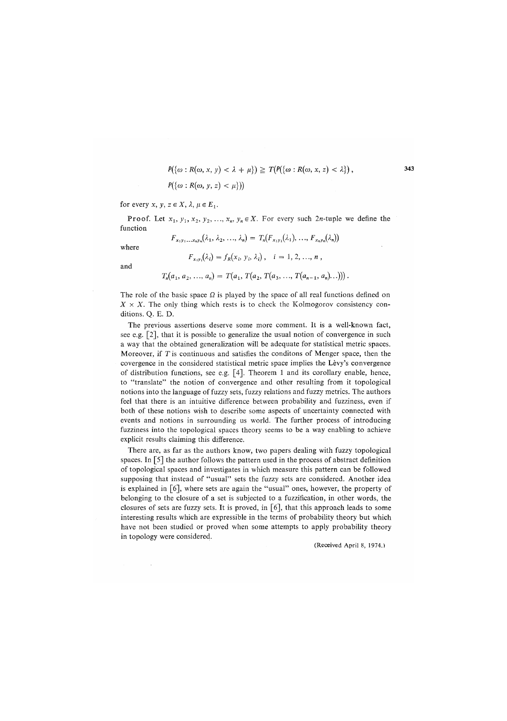$$
P(\{\omega : R(\omega, x, y) < \lambda + \mu\}) \geq T(P(\{\omega : R(\omega, x, z) < \lambda\}),
$$
\n
$$
P(\{\omega : R(\omega, y, z) < \mu\}))
$$

343

for every  $x, y, z \in X$ ,  $\lambda, \mu \in E_1$ .

Proof. Let  $x_1, y_1, x_2, y_2, \ldots, x_n, y_n \in X$ . For every such 2n-tuple we define the function  $F_{x_1y_1...x_ny_n}(\lambda_1, \lambda_2, ..., \lambda_n) = T_n(F_{x_1y_1}(\lambda_1), ..., F_{x_ny_n}(\lambda_n))$ 

where

$$
F_{x_i y_i}(\lambda_i) = f_R(x_i, y_i, \lambda_i), \quad i = 1, 2, ..., n,
$$

and

$$
T_n(a_1, a_2, ..., a_n) = T(a_1, T(a_2, T(a_3, ..., T(a_{n-1}, a_n)...)))
$$
.

The role of the basic space  $\Omega$  is played by the space of all real functions defined on  $X \times X$ . The only thing which rests is to check the Kolmogorov consistency conditions. Q. E. D.

The previous assertions deserve some more comment. It is a well-known fact, see e.g. [2], that it is possible to generalize the usual notion of convergence in such a way that the obtained generalization will be adequate for statistical metric spaces. Moreover, if *T* is continuous and satisfies the conditons of Menger space, then the covergence in the considered statistical metric space implies the Levy's convergence of distribution functions, see e.g. [4]. Theorem 1 and its corollary enable, hence, to "translate" the notion of convergence and other resulting from it topological notions into the language of fuzzy sets, fuzzy relations and fuzzy metrics. The authors feel that there is an intuitive difference between probability and fuzziness, even if both of these notions wish to describe some aspects of uncertainty connected with events and notions in surrounding us world. The further process of introducing fuzziness into the topological spaces theory seems to be a way enabling to achieve explicit results claiming this difference.

There are, as far as the authors know, two papers dealing with fuzzy topological spaces. In [5] the author follows the pattern used in the process of abstract definition of topological spaces and investigates in which measure this pattern can be followed supposing that instead of "usual" sets the fuzzy sets are considered. Another idea is explained in [6], where sets are again the "usual" ones, however, the property of belonging to the closure of a set is subjected to a fuzzification, in other words, the closures of sets are fuzzy sets. It is proved, in  $\lceil 6 \rceil$ , that this approach leads to some interesting results which are expressible in the terms of probability theory but which have not been studied or proved when some attempts to apply probability theory in topology were considered.

(Received April 8, 1974.)